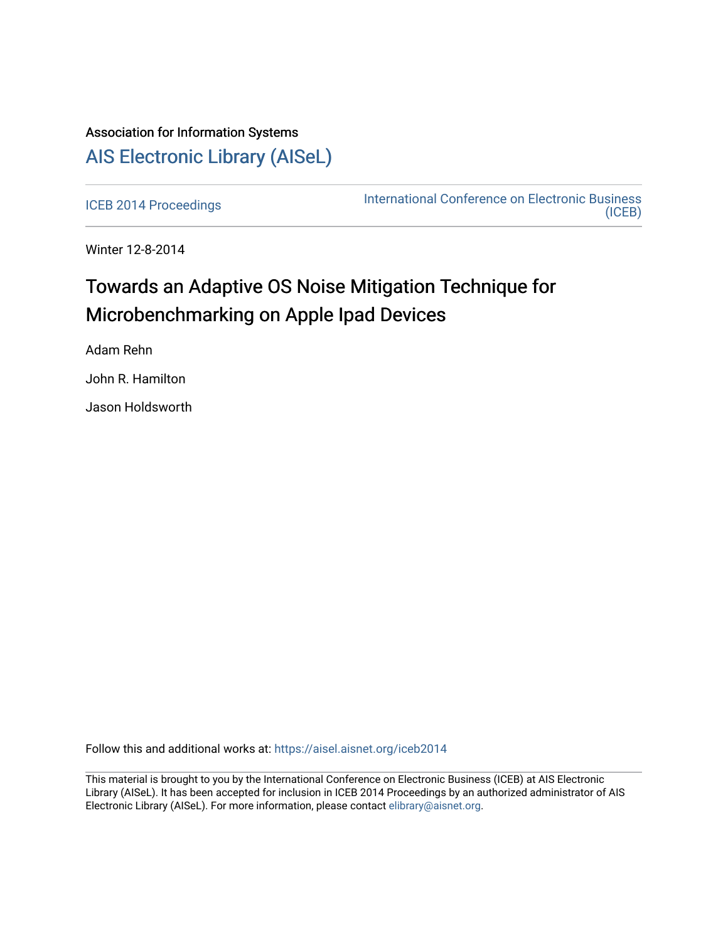# Association for Information Systems [AIS Electronic Library \(AISeL\)](https://aisel.aisnet.org/)

[ICEB 2014 Proceedings](https://aisel.aisnet.org/iceb2014) **International Conference on Electronic Business** [\(ICEB\)](https://aisel.aisnet.org/iceb) 

Winter 12-8-2014

# Towards an Adaptive OS Noise Mitigation Technique for Microbenchmarking on Apple Ipad Devices

Adam Rehn

John R. Hamilton

Jason Holdsworth

Follow this and additional works at: [https://aisel.aisnet.org/iceb2014](https://aisel.aisnet.org/iceb2014?utm_source=aisel.aisnet.org%2Ficeb2014%2F12&utm_medium=PDF&utm_campaign=PDFCoverPages)

This material is brought to you by the International Conference on Electronic Business (ICEB) at AIS Electronic Library (AISeL). It has been accepted for inclusion in ICEB 2014 Proceedings by an authorized administrator of AIS Electronic Library (AISeL). For more information, please contact [elibrary@aisnet.org.](mailto:elibrary@aisnet.org%3E)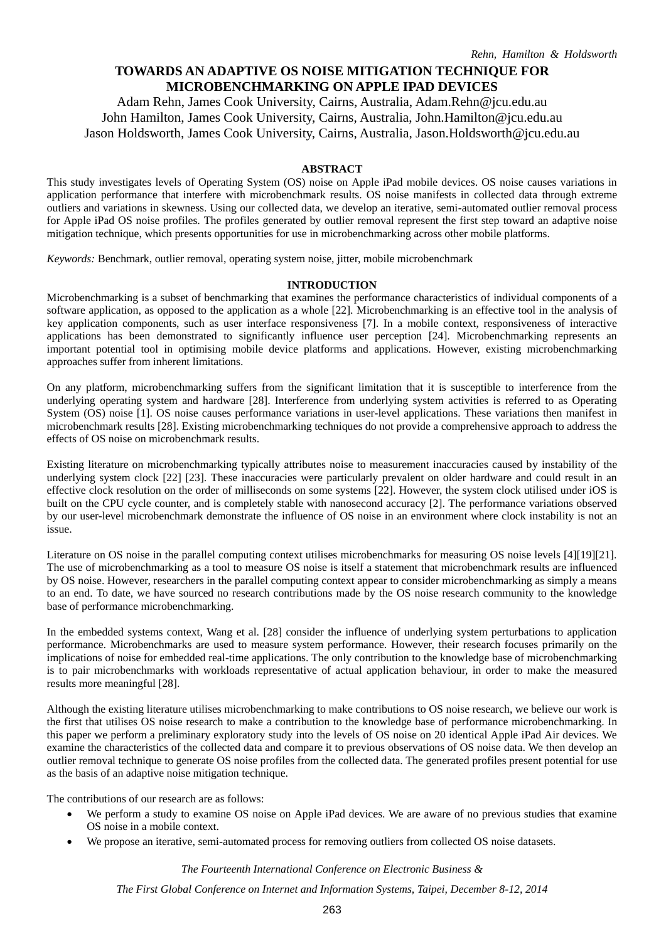# **TOWARDS AN ADAPTIVE OS NOISE MITIGATION TECHNIQUE FOR MICROBENCHMARKING ON APPLE IPAD DEVICES**

Adam Rehn, James Cook University, Cairns, Australia, Adam.Rehn@jcu.edu.au John Hamilton, James Cook University, Cairns, Australia, John.Hamilton@jcu.edu.au Jason Holdsworth, James Cook University, Cairns, Australia, Jason.Holdsworth@jcu.edu.au

#### **ABSTRACT**

This study investigates levels of Operating System (OS) noise on Apple iPad mobile devices. OS noise causes variations in application performance that interfere with microbenchmark results. OS noise manifests in collected data through extreme outliers and variations in skewness. Using our collected data, we develop an iterative, semi-automated outlier removal process for Apple iPad OS noise profiles. The profiles generated by outlier removal represent the first step toward an adaptive noise mitigation technique, which presents opportunities for use in microbenchmarking across other mobile platforms.

*Keywords:* Benchmark, outlier removal, operating system noise, jitter, mobile microbenchmark

#### **INTRODUCTION**

Microbenchmarking is a subset of benchmarking that examines the performance characteristics of individual components of a software application, as opposed to the application as a whole [22]. Microbenchmarking is an effective tool in the analysis of key application components, such as user interface responsiveness [7]. In a mobile context, responsiveness of interactive applications has been demonstrated to significantly influence user perception [24]. Microbenchmarking represents an important potential tool in optimising mobile device platforms and applications. However, existing microbenchmarking approaches suffer from inherent limitations.

On any platform, microbenchmarking suffers from the significant limitation that it is susceptible to interference from the underlying operating system and hardware [28]. Interference from underlying system activities is referred to as Operating System (OS) noise [1]. OS noise causes performance variations in user-level applications. These variations then manifest in microbenchmark results [28]. Existing microbenchmarking techniques do not provide a comprehensive approach to address the effects of OS noise on microbenchmark results.

Existing literature on microbenchmarking typically attributes noise to measurement inaccuracies caused by instability of the underlying system clock [22] [23]. These inaccuracies were particularly prevalent on older hardware and could result in an effective clock resolution on the order of milliseconds on some systems [22]. However, the system clock utilised under iOS is built on the CPU cycle counter, and is completely stable with nanosecond accuracy [2]. The performance variations observed by our user-level microbenchmark demonstrate the influence of OS noise in an environment where clock instability is not an issue.

Literature on OS noise in the parallel computing context utilises microbenchmarks for measuring OS noise levels [4][19][21]. The use of microbenchmarking as a tool to measure OS noise is itself a statement that microbenchmark results are influenced by OS noise. However, researchers in the parallel computing context appear to consider microbenchmarking as simply a means to an end. To date, we have sourced no research contributions made by the OS noise research community to the knowledge base of performance microbenchmarking.

In the embedded systems context, Wang et al. [28] consider the influence of underlying system perturbations to application performance. Microbenchmarks are used to measure system performance. However, their research focuses primarily on the implications of noise for embedded real-time applications. The only contribution to the knowledge base of microbenchmarking is to pair microbenchmarks with workloads representative of actual application behaviour, in order to make the measured results more meaningful [28].

Although the existing literature utilises microbenchmarking to make contributions to OS noise research, we believe our work is the first that utilises OS noise research to make a contribution to the knowledge base of performance microbenchmarking. In this paper we perform a preliminary exploratory study into the levels of OS noise on 20 identical Apple iPad Air devices. We examine the characteristics of the collected data and compare it to previous observations of OS noise data. We then develop an outlier removal technique to generate OS noise profiles from the collected data. The generated profiles present potential for use as the basis of an adaptive noise mitigation technique.

The contributions of our research are as follows:

- We perform a study to examine OS noise on Apple iPad devices. We are aware of no previous studies that examine OS noise in a mobile context.
- We propose an iterative, semi-automated process for removing outliers from collected OS noise datasets.

*The Fourteenth International Conference on Electronic Business &*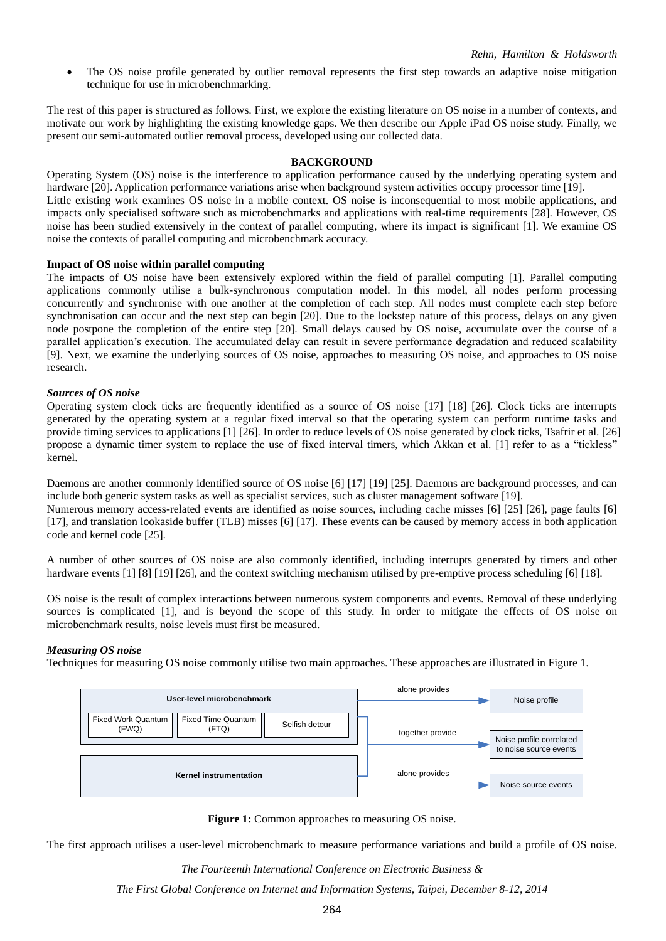The OS noise profile generated by outlier removal represents the first step towards an adaptive noise mitigation technique for use in microbenchmarking.

The rest of this paper is structured as follows. First, we explore the existing literature on OS noise in a number of contexts, and motivate our work by highlighting the existing knowledge gaps. We then describe our Apple iPad OS noise study. Finally, we present our semi-automated outlier removal process, developed using our collected data.

#### **BACKGROUND**

Operating System (OS) noise is the interference to application performance caused by the underlying operating system and hardware [20]. Application performance variations arise when background system activities occupy processor time [19]. Little existing work examines OS noise in a mobile context. OS noise is inconsequential to most mobile applications, and impacts only specialised software such as microbenchmarks and applications with real-time requirements [28]. However, OS noise has been studied extensively in the context of parallel computing, where its impact is significant [1]. We examine OS noise the contexts of parallel computing and microbenchmark accuracy.

#### **Impact of OS noise within parallel computing**

The impacts of OS noise have been extensively explored within the field of parallel computing [1]. Parallel computing applications commonly utilise a bulk-synchronous computation model. In this model, all nodes perform processing concurrently and synchronise with one another at the completion of each step. All nodes must complete each step before synchronisation can occur and the next step can begin [20]. Due to the lockstep nature of this process, delays on any given node postpone the completion of the entire step [20]. Small delays caused by OS noise, accumulate over the course of a parallel application's execution. The accumulated delay can result in severe performance degradation and reduced scalability [9]. Next, we examine the underlying sources of OS noise, approaches to measuring OS noise, and approaches to OS noise research.

#### *Sources of OS noise*

Operating system clock ticks are frequently identified as a source of OS noise [17] [18] [26]. Clock ticks are interrupts generated by the operating system at a regular fixed interval so that the operating system can perform runtime tasks and provide timing services to applications [1] [26]. In order to reduce levels of OS noise generated by clock ticks, Tsafrir et al. [26] propose a dynamic timer system to replace the use of fixed interval timers, which Akkan et al. [1] refer to as a "tickless" kernel.

Daemons are another commonly identified source of OS noise [6] [17] [19] [25]. Daemons are background processes, and can include both generic system tasks as well as specialist services, such as cluster management software [19].

Numerous memory access-related events are identified as noise sources, including cache misses [6] [25] [26], page faults [6] [17], and translation lookaside buffer (TLB) misses [6] [17]. These events can be caused by memory access in both application code and kernel code [25].

A number of other sources of OS noise are also commonly identified, including interrupts generated by timers and other hardware events [1] [8] [19] [26], and the context switching mechanism utilised by pre-emptive process scheduling [6] [18].

OS noise is the result of complex interactions between numerous system components and events. Removal of these underlying sources is complicated [1], and is beyond the scope of this study. In order to mitigate the effects of OS noise on microbenchmark results, noise levels must first be measured.

#### *Measuring OS noise*

Techniques for measuring OS noise commonly utilise two main approaches. These approaches are illustrated in Figure 1.



**Figure 1:** Common approaches to measuring OS noise.

The first approach utilises a user-level microbenchmark to measure performance variations and build a profile of OS noise.

*The Fourteenth International Conference on Electronic Business &*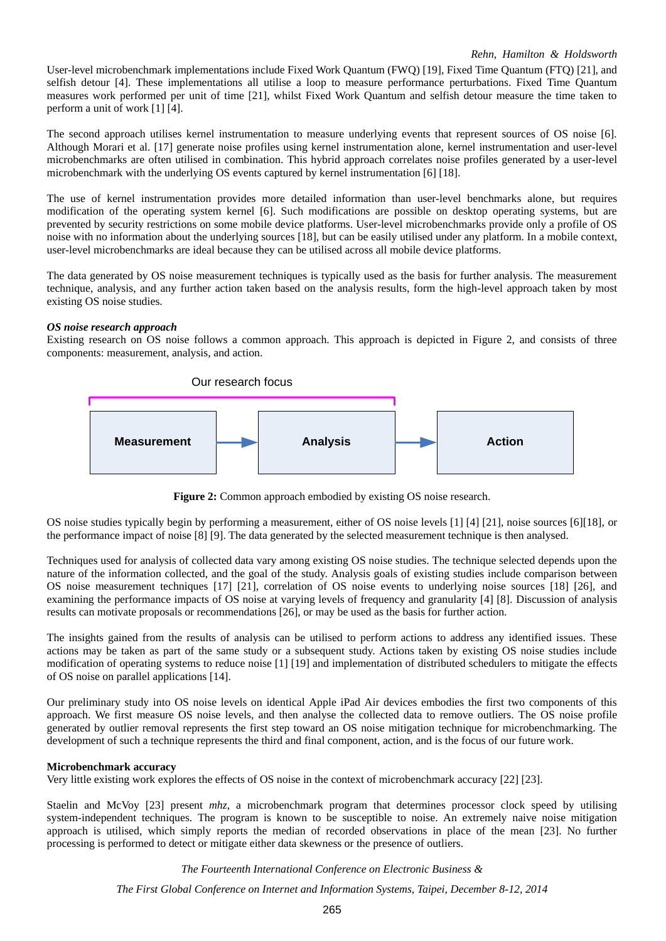User-level microbenchmark implementations include Fixed Work Quantum (FWQ) [19], Fixed Time Quantum (FTQ) [21], and selfish detour [4]. These implementations all utilise a loop to measure performance perturbations. Fixed Time Quantum measures work performed per unit of time [21], whilst Fixed Work Quantum and selfish detour measure the time taken to perform a unit of work [1] [4].

The second approach utilises kernel instrumentation to measure underlying events that represent sources of OS noise [6]. Although Morari et al. [17] generate noise profiles using kernel instrumentation alone, kernel instrumentation and user-level microbenchmarks are often utilised in combination. This hybrid approach correlates noise profiles generated by a user-level microbenchmark with the underlying OS events captured by kernel instrumentation [6] [18].

The use of kernel instrumentation provides more detailed information than user-level benchmarks alone, but requires modification of the operating system kernel [6]. Such modifications are possible on desktop operating systems, but are prevented by security restrictions on some mobile device platforms. User-level microbenchmarks provide only a profile of OS noise with no information about the underlying sources [18], but can be easily utilised under any platform. In a mobile context, user-level microbenchmarks are ideal because they can be utilised across all mobile device platforms.

The data generated by OS noise measurement techniques is typically used as the basis for further analysis. The measurement technique, analysis, and any further action taken based on the analysis results, form the high-level approach taken by most existing OS noise studies.

# *OS noise research approach*

Existing research on OS noise follows a common approach. This approach is depicted in Figure 2, and consists of three components: measurement, analysis, and action.



**Figure 2:** Common approach embodied by existing OS noise research.

OS noise studies typically begin by performing a measurement, either of OS noise levels [1] [4] [21], noise sources [6][18], or the performance impact of noise [8] [9]. The data generated by the selected measurement technique is then analysed.

Techniques used for analysis of collected data vary among existing OS noise studies. The technique selected depends upon the nature of the information collected, and the goal of the study. Analysis goals of existing studies include comparison between OS noise measurement techniques [17] [21], correlation of OS noise events to underlying noise sources [18] [26], and examining the performance impacts of OS noise at varying levels of frequency and granularity [4] [8]. Discussion of analysis results can motivate proposals or recommendations [26], or may be used as the basis for further action.

The insights gained from the results of analysis can be utilised to perform actions to address any identified issues. These actions may be taken as part of the same study or a subsequent study. Actions taken by existing OS noise studies include modification of operating systems to reduce noise [1] [19] and implementation of distributed schedulers to mitigate the effects of OS noise on parallel applications [14].

Our preliminary study into OS noise levels on identical Apple iPad Air devices embodies the first two components of this approach. We first measure OS noise levels, and then analyse the collected data to remove outliers. The OS noise profile generated by outlier removal represents the first step toward an OS noise mitigation technique for microbenchmarking. The development of such a technique represents the third and final component, action, and is the focus of our future work.

#### **Microbenchmark accuracy**

Very little existing work explores the effects of OS noise in the context of microbenchmark accuracy [22] [23].

Staelin and McVoy [23] present *mhz*, a microbenchmark program that determines processor clock speed by utilising system-independent techniques. The program is known to be susceptible to noise. An extremely naive noise mitigation approach is utilised, which simply reports the median of recorded observations in place of the mean [23]. No further processing is performed to detect or mitigate either data skewness or the presence of outliers.

*The Fourteenth International Conference on Electronic Business &*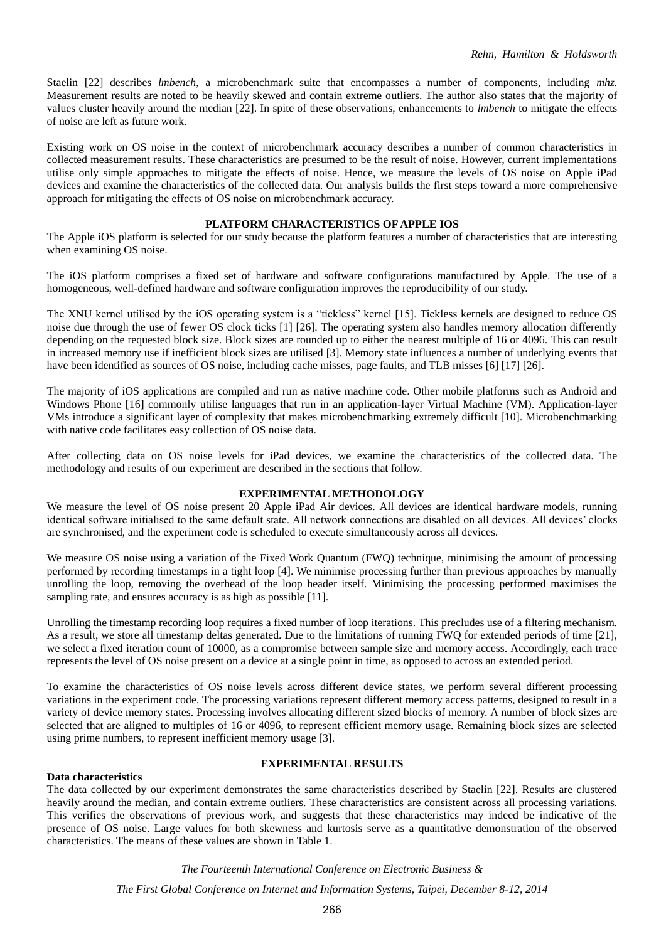Staelin [22] describes *lmbench*, a microbenchmark suite that encompasses a number of components, including *mhz*. Measurement results are noted to be heavily skewed and contain extreme outliers. The author also states that the majority of values cluster heavily around the median [22]. In spite of these observations, enhancements to *lmbench* to mitigate the effects of noise are left as future work.

Existing work on OS noise in the context of microbenchmark accuracy describes a number of common characteristics in collected measurement results. These characteristics are presumed to be the result of noise. However, current implementations utilise only simple approaches to mitigate the effects of noise. Hence, we measure the levels of OS noise on Apple iPad devices and examine the characteristics of the collected data. Our analysis builds the first steps toward a more comprehensive approach for mitigating the effects of OS noise on microbenchmark accuracy.

# **PLATFORM CHARACTERISTICS OF APPLE IOS**

The Apple iOS platform is selected for our study because the platform features a number of characteristics that are interesting when examining OS noise.

The iOS platform comprises a fixed set of hardware and software configurations manufactured by Apple. The use of a homogeneous, well-defined hardware and software configuration improves the reproducibility of our study.

The XNU kernel utilised by the iOS operating system is a "tickless" kernel [15]. Tickless kernels are designed to reduce OS noise due through the use of fewer OS clock ticks [1] [26]. The operating system also handles memory allocation differently depending on the requested block size. Block sizes are rounded up to either the nearest multiple of 16 or 4096. This can result in increased memory use if inefficient block sizes are utilised [3]. Memory state influences a number of underlying events that have been identified as sources of OS noise, including cache misses, page faults, and TLB misses [6] [17] [26].

The majority of iOS applications are compiled and run as native machine code. Other mobile platforms such as Android and Windows Phone [16] commonly utilise languages that run in an application-layer Virtual Machine (VM). Application-layer VMs introduce a significant layer of complexity that makes microbenchmarking extremely difficult [10]. Microbenchmarking with native code facilitates easy collection of OS noise data.

After collecting data on OS noise levels for iPad devices, we examine the characteristics of the collected data. The methodology and results of our experiment are described in the sections that follow.

# **EXPERIMENTAL METHODOLOGY**

We measure the level of OS noise present 20 Apple iPad Air devices. All devices are identical hardware models, running identical software initialised to the same default state. All network connections are disabled on all devices. All devices' clocks are synchronised, and the experiment code is scheduled to execute simultaneously across all devices.

We measure OS noise using a variation of the Fixed Work Quantum (FWQ) technique, minimising the amount of processing performed by recording timestamps in a tight loop [4]. We minimise processing further than previous approaches by manually unrolling the loop, removing the overhead of the loop header itself. Minimising the processing performed maximises the sampling rate, and ensures accuracy is as high as possible [11].

Unrolling the timestamp recording loop requires a fixed number of loop iterations. This precludes use of a filtering mechanism. As a result, we store all timestamp deltas generated. Due to the limitations of running FWQ for extended periods of time [21], we select a fixed iteration count of 10000, as a compromise between sample size and memory access. Accordingly, each trace represents the level of OS noise present on a device at a single point in time, as opposed to across an extended period.

To examine the characteristics of OS noise levels across different device states, we perform several different processing variations in the experiment code. The processing variations represent different memory access patterns, designed to result in a variety of device memory states. Processing involves allocating different sized blocks of memory. A number of block sizes are selected that are aligned to multiples of 16 or 4096, to represent efficient memory usage. Remaining block sizes are selected using prime numbers, to represent inefficient memory usage [3].

# **EXPERIMENTAL RESULTS**

# **Data characteristics**

The data collected by our experiment demonstrates the same characteristics described by Staelin [22]. Results are clustered heavily around the median, and contain extreme outliers. These characteristics are consistent across all processing variations. This verifies the observations of previous work, and suggests that these characteristics may indeed be indicative of the presence of OS noise. Large values for both skewness and kurtosis serve as a quantitative demonstration of the observed characteristics. The means of these values are shown in Table 1.

*The Fourteenth International Conference on Electronic Business &*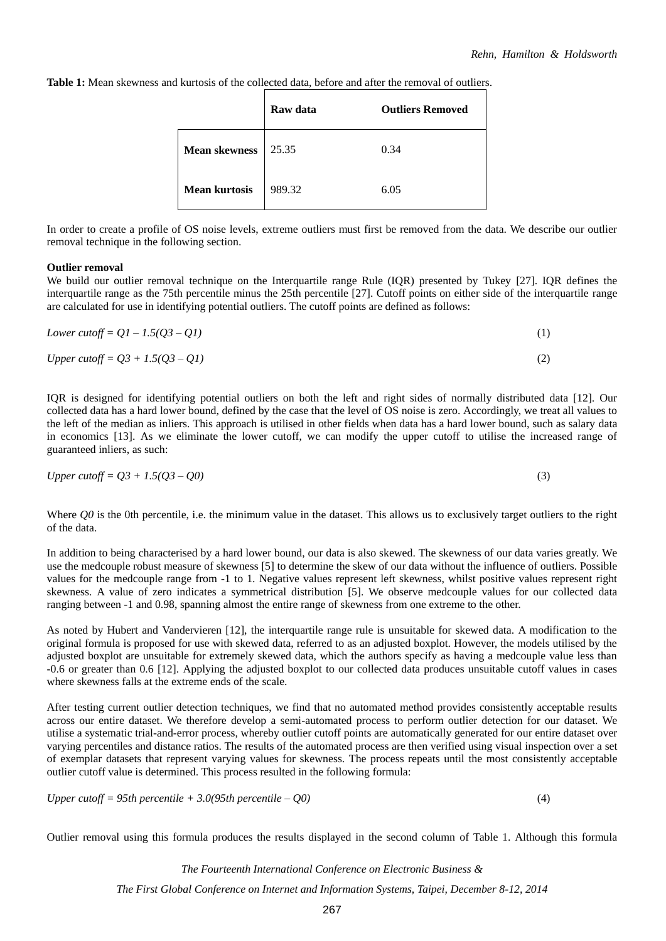**Table 1:** Mean skewness and kurtosis of the collected data, before and after the removal of outliers.

|                      | Raw data | <b>Outliers Removed</b> |
|----------------------|----------|-------------------------|
| <b>Mean skewness</b> | 25.35    | 0.34                    |
| <b>Mean kurtosis</b> | 989.32   | 6.05                    |

In order to create a profile of OS noise levels, extreme outliers must first be removed from the data. We describe our outlier removal technique in the following section.

# **Outlier removal**

We build our outlier removal technique on the Interquartile range Rule (IQR) presented by Tukey [27]. IQR defines the interquartile range as the 75th percentile minus the 25th percentile [27]. Cutoff points on either side of the interquartile range are calculated for use in identifying potential outliers. The cutoff points are defined as follows:

| Lower cutoff = $Q1 - 1.5(Q3 - Q1)$        |     |
|-------------------------------------------|-----|
| <i>Upper cutoff</i> = $Q3 + 1.5(Q3 - Q1)$ | (2) |

IQR is designed for identifying potential outliers on both the left and right sides of normally distributed data [12]. Our collected data has a hard lower bound, defined by the case that the level of OS noise is zero. Accordingly, we treat all values to the left of the median as inliers. This approach is utilised in other fields when data has a hard lower bound, such as salary data in economics [13]. As we eliminate the lower cutoff, we can modify the upper cutoff to utilise the increased range of guaranteed inliers, as such:

$$
Upper\ cutoff = Q3 + 1.5(Q3 - Q0)
$$
\n<sup>(3)</sup>

Where *Q0* is the 0th percentile, i.e. the minimum value in the dataset. This allows us to exclusively target outliers to the right of the data.

In addition to being characterised by a hard lower bound, our data is also skewed. The skewness of our data varies greatly. We use the medcouple robust measure of skewness [5] to determine the skew of our data without the influence of outliers. Possible values for the medcouple range from -1 to 1. Negative values represent left skewness, whilst positive values represent right skewness. A value of zero indicates a symmetrical distribution [5]. We observe medcouple values for our collected data ranging between -1 and 0.98, spanning almost the entire range of skewness from one extreme to the other.

As noted by Hubert and Vandervieren [12], the interquartile range rule is unsuitable for skewed data. A modification to the original formula is proposed for use with skewed data, referred to as an adjusted boxplot. However, the models utilised by the adjusted boxplot are unsuitable for extremely skewed data, which the authors specify as having a medcouple value less than -0.6 or greater than 0.6 [12]. Applying the adjusted boxplot to our collected data produces unsuitable cutoff values in cases where skewness falls at the extreme ends of the scale.

After testing current outlier detection techniques, we find that no automated method provides consistently acceptable results across our entire dataset. We therefore develop a semi-automated process to perform outlier detection for our dataset. We utilise a systematic trial-and-error process, whereby outlier cutoff points are automatically generated for our entire dataset over varying percentiles and distance ratios. The results of the automated process are then verified using visual inspection over a set of exemplar datasets that represent varying values for skewness. The process repeats until the most consistently acceptable outlier cutoff value is determined. This process resulted in the following formula:

*Upper cutoff = 95th percentile + 3.0(95th percentile – Q0)* (4)

Outlier removal using this formula produces the results displayed in the second column of Table 1. Although this formula

*The Fourteenth International Conference on Electronic Business & The First Global Conference on Internet and Information Systems, Taipei, December 8-12, 2014*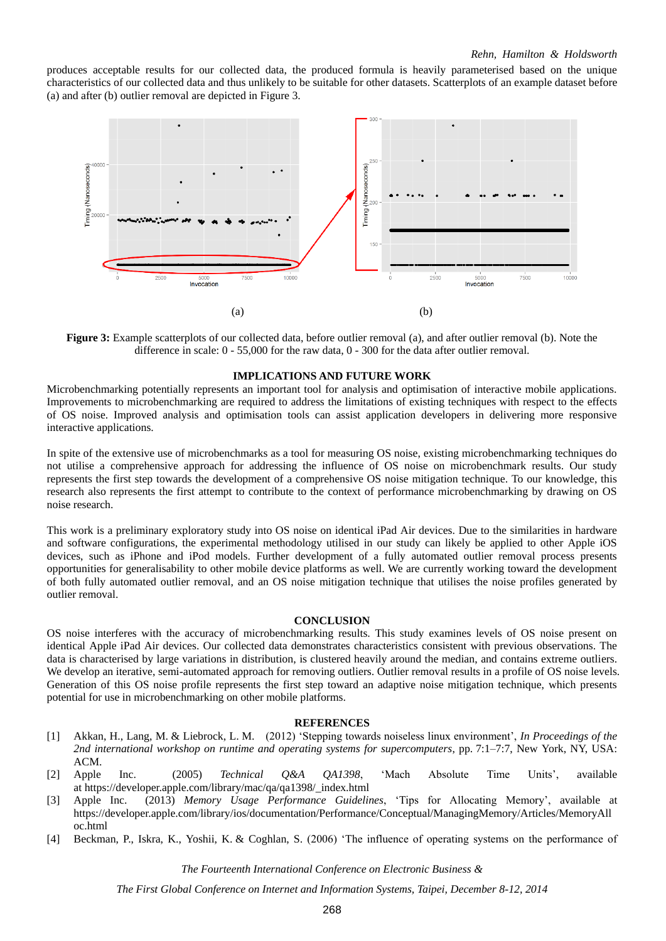produces acceptable results for our collected data, the produced formula is heavily parameterised based on the unique characteristics of our collected data and thus unlikely to be suitable for other datasets. Scatterplots of an example dataset before (a) and after (b) outlier removal are depicted in Figure 3.



**Figure 3:** Example scatterplots of our collected data, before outlier removal (a), and after outlier removal (b). Note the difference in scale: 0 - 55,000 for the raw data, 0 - 300 for the data after outlier removal.

# **IMPLICATIONS AND FUTURE WORK**

Microbenchmarking potentially represents an important tool for analysis and optimisation of interactive mobile applications. Improvements to microbenchmarking are required to address the limitations of existing techniques with respect to the effects of OS noise. Improved analysis and optimisation tools can assist application developers in delivering more responsive interactive applications.

In spite of the extensive use of microbenchmarks as a tool for measuring OS noise, existing microbenchmarking techniques do not utilise a comprehensive approach for addressing the influence of OS noise on microbenchmark results. Our study represents the first step towards the development of a comprehensive OS noise mitigation technique. To our knowledge, this research also represents the first attempt to contribute to the context of performance microbenchmarking by drawing on OS noise research.

This work is a preliminary exploratory study into OS noise on identical iPad Air devices. Due to the similarities in hardware and software configurations, the experimental methodology utilised in our study can likely be applied to other Apple iOS devices, such as iPhone and iPod models. Further development of a fully automated outlier removal process presents opportunities for generalisability to other mobile device platforms as well. We are currently working toward the development of both fully automated outlier removal, and an OS noise mitigation technique that utilises the noise profiles generated by outlier removal.

#### **CONCLUSION**

OS noise interferes with the accuracy of microbenchmarking results. This study examines levels of OS noise present on identical Apple iPad Air devices. Our collected data demonstrates characteristics consistent with previous observations. The data is characterised by large variations in distribution, is clustered heavily around the median, and contains extreme outliers. We develop an iterative, semi-automated approach for removing outliers. Outlier removal results in a profile of OS noise levels. Generation of this OS noise profile represents the first step toward an adaptive noise mitigation technique, which presents potential for use in microbenchmarking on other mobile platforms.

#### **REFERENCES**

- [1] Akkan, H., Lang, M. & Liebrock, L. M. (2012) 'Stepping towards noiseless linux environment', *In Proceedings of the 2nd international workshop on runtime and operating systems for supercomputers*, pp. 7:1–7:7, New York, NY, USA: ACM.
- [2] Apple Inc. (2005) *Technical Q&A QA1398*, 'Mach Absolute Time Units', available at [https://developer.apple.com/library/mac/qa/qa1398/\\_index.html](https://developer.apple.com/library/mac/qa/qa1398/_index.html)
- [3] Apple Inc. (2013) *Memory Usage Performance Guidelines*, 'Tips for Allocating Memory', available at [https://developer.apple.com/library/ios/documentation/Performance/Conceptual/ManagingMemory/Articles/MemoryAll](https://developer.apple.com/library/ios/documentation/Performance/Conceptual/ManagingMemory/Articles/MemoryAlloc.html) [oc.html](https://developer.apple.com/library/ios/documentation/Performance/Conceptual/ManagingMemory/Articles/MemoryAlloc.html)
- [4] Beckman, P., Iskra, K., Yoshii, K. & Coghlan, S. (2006) 'The influence of operating systems on the performance of

*The Fourteenth International Conference on Electronic Business &*